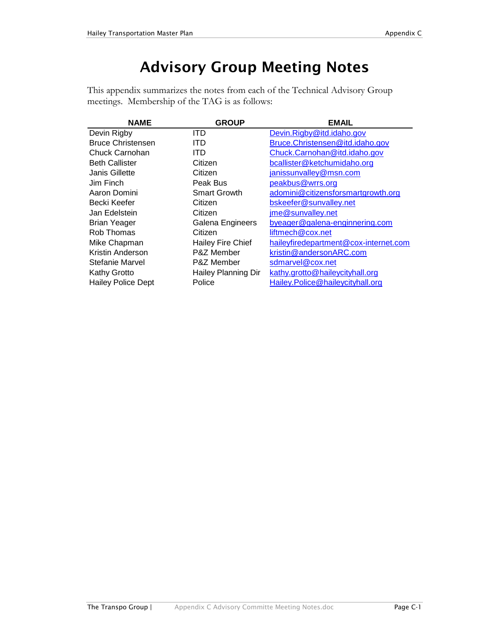## Advisory Group Meeting Notes

This appendix summarizes the notes from each of the Technical Advisory Group meetings. Membership of the TAG is as follows:

| <b>NAME</b>               | <b>GROUP</b>             | <b>EMAIL</b>                          |
|---------------------------|--------------------------|---------------------------------------|
| Devin Rigby               | ITD                      | Devin.Rigby@itd.idaho.gov             |
| <b>Bruce Christensen</b>  | ITD                      | Bruce.Christensen@itd.idaho.gov       |
| Chuck Carnohan            | ITD                      | Chuck.Carnohan@itd.idaho.gov          |
| <b>Beth Callister</b>     | Citizen                  | bcallister@ketchumidaho.org           |
| Janis Gillette            | Citizen                  | janissunvalley@msn.com                |
| Jim Finch                 | Peak Bus                 | peakbus@wrrs.org                      |
| Aaron Domini              | <b>Smart Growth</b>      | adomini@citizensforsmartgrowth.org    |
| Becki Keefer              | Citizen                  | bskeefer@sunvalley.net                |
| Jan Edelstein             | Citizen                  | ime@sunvalley.net                     |
| <b>Brian Yeager</b>       | Galena Engineers         | byeager@galena-enginnering.com        |
| Rob Thomas                | Citizen                  | liftmech@cox.net                      |
| Mike Chapman              | <b>Hailey Fire Chief</b> | haileyfiredepartment@cox-internet.com |
| Kristin Anderson          | <b>P&amp;Z Member</b>    | kristin@andersonARC.com               |
| <b>Stefanie Marvel</b>    | P&Z Member               | sdmarvel@cox.net                      |
| Kathy Grotto              | Hailey Planning Dir      | kathy.grotto@haileycityhall.org       |
| <b>Hailey Police Dept</b> | Police                   | Hailey.Police@haileycityhall.org      |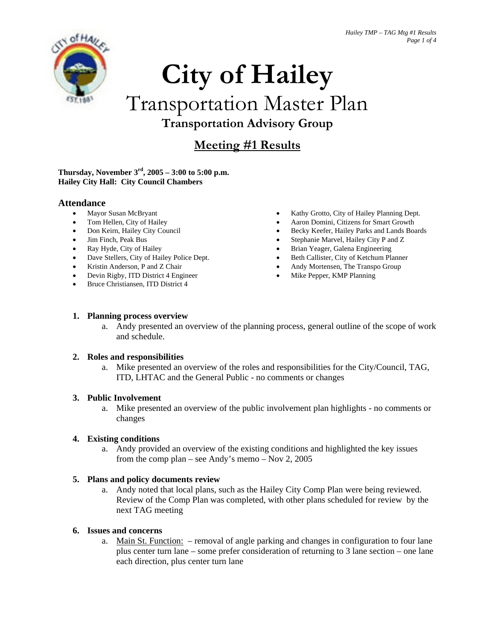

# **City of Hailey**

## Transportation Master Plan **Transportation Advisory Group**

### **Meeting #1 Results**

#### **Thursday, November 3rd, 2005 – 3:00 to 5:00 p.m. Hailey City Hall: City Council Chambers**

#### **Attendance**

- Mayor Susan McBryant
- Tom Hellen, City of Hailey
- Don Keirn, Hailey City Council
- Jim Finch, Peak Bus
- Ray Hyde, City of Hailey
- Dave Stellers, City of Hailey Police Dept.
- Kristin Anderson, P and Z Chair
- Devin Rigby, ITD District 4 Engineer
- Bruce Christiansen, ITD District 4
- Kathy Grotto, City of Hailey Planning Dept.
- Aaron Domini, Citizens for Smart Growth
- Becky Keefer, Hailey Parks and Lands Boards
- Stephanie Marvel, Hailey City P and Z
- Brian Yeager, Galena Engineering
- Beth Callister, City of Ketchum Planner
- Andy Mortensen, The Transpo Group
- Mike Pepper, KMP Planning

#### **1. Planning process overview**

a. Andy presented an overview of the planning process, general outline of the scope of work and schedule.

#### **2. Roles and responsibilities**

a. Mike presented an overview of the roles and responsibilities for the City/Council, TAG, ITD, LHTAC and the General Public - no comments or changes

#### **3. Public Involvement**

a. Mike presented an overview of the public involvement plan highlights - no comments or changes

#### **4. Existing conditions**

a. Andy provided an overview of the existing conditions and highlighted the key issues from the comp plan – see Andy's memo – Nov 2, 2005

#### **5. Plans and policy documents review**

a. Andy noted that local plans, such as the Hailey City Comp Plan were being reviewed. Review of the Comp Plan was completed, with other plans scheduled for review by the next TAG meeting

#### **6. Issues and concerns**

a. Main St. Function: – removal of angle parking and changes in configuration to four lane plus center turn lane – some prefer consideration of returning to 3 lane section – one lane each direction, plus center turn lane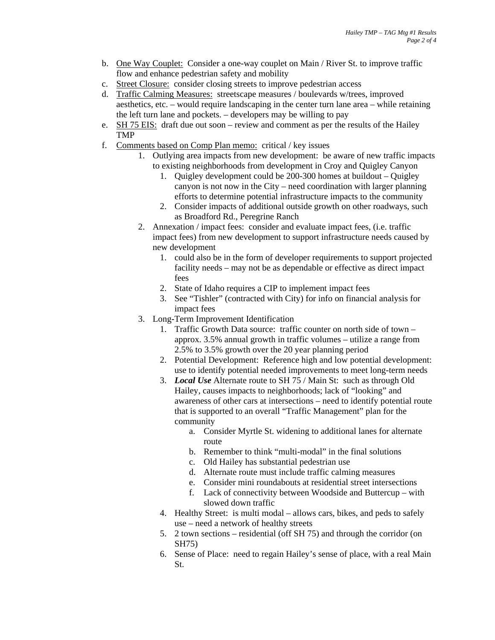- b. One Way Couplet: Consider a one-way couplet on Main / River St. to improve traffic flow and enhance pedestrian safety and mobility
- c. Street Closure: consider closing streets to improve pedestrian access
- d. Traffic Calming Measures: streetscape measures / boulevards w/trees, improved aesthetics, etc. – would require landscaping in the center turn lane area – while retaining the left turn lane and pockets. – developers may be willing to pay
- e. SH 75 EIS: draft due out soon review and comment as per the results of the Hailey TMP
- f. Comments based on Comp Plan memo: critical / key issues
	- 1. Outlying area impacts from new development: be aware of new traffic impacts to existing neighborhoods from development in Croy and Quigley Canyon
		- 1. Quigley development could be 200-300 homes at buildout Quigley canyon is not now in the City – need coordination with larger planning efforts to determine potential infrastructure impacts to the community
		- 2. Consider impacts of additional outside growth on other roadways, such as Broadford Rd., Peregrine Ranch
	- 2. Annexation / impact fees: consider and evaluate impact fees, (i.e. traffic impact fees) from new development to support infrastructure needs caused by new development
		- 1. could also be in the form of developer requirements to support projected facility needs – may not be as dependable or effective as direct impact fees
		- 2. State of Idaho requires a CIP to implement impact fees
		- 3. See "Tishler" (contracted with City) for info on financial analysis for impact fees
	- 3. Long-Term Improvement Identification
		- 1. Traffic Growth Data source: traffic counter on north side of town approx. 3.5% annual growth in traffic volumes – utilize a range from 2.5% to 3.5% growth over the 20 year planning period
		- 2. Potential Development: Reference high and low potential development: use to identify potential needed improvements to meet long-term needs
		- 3. *Local Use* Alternate route to SH 75 / Main St: such as through Old Hailey, causes impacts to neighborhoods; lack of "looking" and awareness of other cars at intersections – need to identify potential route that is supported to an overall "Traffic Management" plan for the community
			- a. Consider Myrtle St. widening to additional lanes for alternate route
			- b. Remember to think "multi-modal" in the final solutions
			- c. Old Hailey has substantial pedestrian use
			- d. Alternate route must include traffic calming measures
			- e. Consider mini roundabouts at residential street intersections
			- f. Lack of connectivity between Woodside and Buttercup with slowed down traffic
		- 4. Healthy Street: is multi modal allows cars, bikes, and peds to safely use – need a network of healthy streets
		- 5. 2 town sections residential (off SH 75) and through the corridor (on SH75)
		- 6. Sense of Place: need to regain Hailey's sense of place, with a real Main St.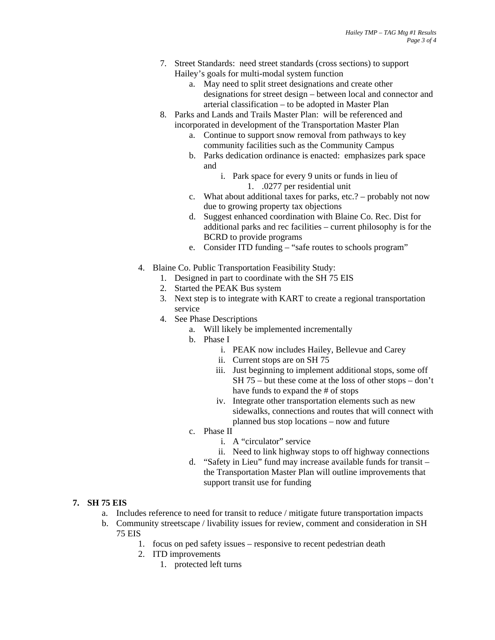- 7. Street Standards: need street standards (cross sections) to support Hailey's goals for multi-modal system function
	- a. May need to split street designations and create other designations for street design – between local and connector and arterial classification – to be adopted in Master Plan
- 8. Parks and Lands and Trails Master Plan: will be referenced and incorporated in development of the Transportation Master Plan
	- a. Continue to support snow removal from pathways to key community facilities such as the Community Campus
	- b. Parks dedication ordinance is enacted: emphasizes park space and
		- i. Park space for every 9 units or funds in lieu of 1. .0277 per residential unit
	- c. What about additional taxes for parks, etc.? probably not now due to growing property tax objections
	- d. Suggest enhanced coordination with Blaine Co. Rec. Dist for additional parks and rec facilities – current philosophy is for the BCRD to provide programs
	- e. Consider ITD funding "safe routes to schools program"
- 4. Blaine Co. Public Transportation Feasibility Study:
	- 1. Designed in part to coordinate with the SH 75 EIS
		- 2. Started the PEAK Bus system
	- 3. Next step is to integrate with KART to create a regional transportation service
	- 4. See Phase Descriptions
		- a. Will likely be implemented incrementally
		- b. Phase I
			- i. PEAK now includes Hailey, Bellevue and Carey
			- ii. Current stops are on SH 75
			- iii. Just beginning to implement additional stops, some off SH 75 – but these come at the loss of other stops – don't have funds to expand the # of stops
			- iv. Integrate other transportation elements such as new sidewalks, connections and routes that will connect with planned bus stop locations – now and future
		- c. Phase II
			- i. A "circulator" service
			- ii. Need to link highway stops to off highway connections
		- d. "Safety in Lieu" fund may increase available funds for transit the Transportation Master Plan will outline improvements that support transit use for funding

#### **7. SH 75 EIS**

- a. Includes reference to need for transit to reduce / mitigate future transportation impacts
- b. Community streetscape / livability issues for review, comment and consideration in SH 75 EIS
	- 1. focus on ped safety issues responsive to recent pedestrian death
	- 2. ITD improvements
		- 1. protected left turns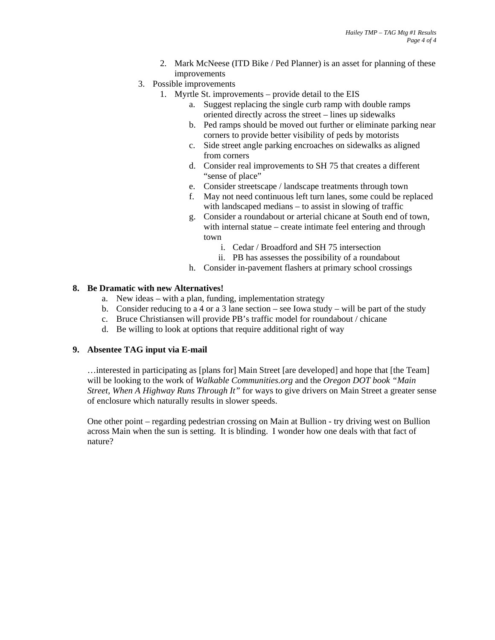- 2. Mark McNeese (ITD Bike / Ped Planner) is an asset for planning of these improvements
- 3. Possible improvements
	- 1. Myrtle St. improvements provide detail to the EIS
		- a. Suggest replacing the single curb ramp with double ramps oriented directly across the street – lines up sidewalks
		- b. Ped ramps should be moved out further or eliminate parking near corners to provide better visibility of peds by motorists
		- c. Side street angle parking encroaches on sidewalks as aligned from corners
		- d. Consider real improvements to SH 75 that creates a different "sense of place"
		- e. Consider streetscape / landscape treatments through town
		- f. May not need continuous left turn lanes, some could be replaced with landscaped medians – to assist in slowing of traffic
		- g. Consider a roundabout or arterial chicane at South end of town, with internal statue – create intimate feel entering and through town
			- i. Cedar / Broadford and SH 75 intersection
			- ii. PB has assesses the possibility of a roundabout
		- h. Consider in-pavement flashers at primary school crossings

#### **8. Be Dramatic with new Alternatives!**

- a. New ideas with a plan, funding, implementation strategy
- b. Consider reducing to a 4 or a 3 lane section see Iowa study will be part of the study
- c. Bruce Christiansen will provide PB's traffic model for roundabout / chicane
- d. Be willing to look at options that require additional right of way

#### **9. Absentee TAG input via E-mail**

…interested in participating as [plans for] Main Street [are developed] and hope that [the Team] will be looking to the work of *Walkable Communities.org* and the *Oregon DOT book "Main Street, When A Highway Runs Through It"* for ways to give drivers on Main Street a greater sense of enclosure which naturally results in slower speeds.

One other point – regarding pedestrian crossing on Main at Bullion - try driving west on Bullion across Main when the sun is setting. It is blinding. I wonder how one deals with that fact of nature?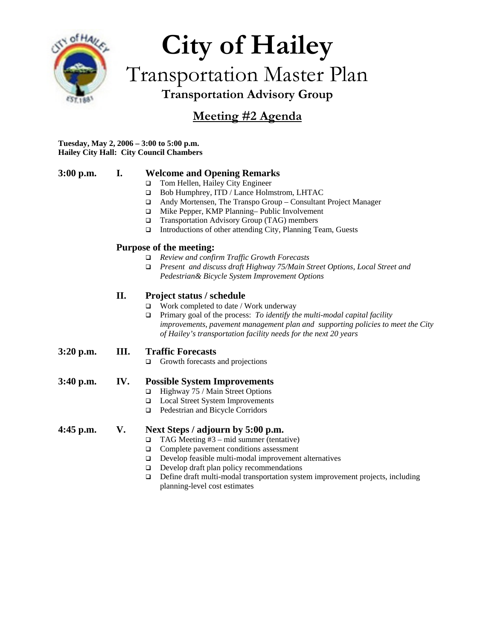

## **City of Hailey**  Transportation Master Plan **Transportation Advisory Group**

### **Meeting #2 Agenda**

#### **Tuesday, May 2, 2006 – 3:00 to 5:00 p.m. Hailey City Hall: City Council Chambers**

#### **3:00 p.m. I. Welcome and Opening Remarks**

- □ Tom Hellen, Hailey City Engineer
- Bob Humphrey, ITD / Lance Holmstrom, LHTAC
- Andy Mortensen, The Transpo Group Consultant Project Manager
- Mike Pepper, KMP Planning– Public Involvement
- Transportation Advisory Group (TAG) members
- $\Box$  Introductions of other attending City, Planning Team, Guests

#### **Purpose of the meeting:**

- *Review and confirm Traffic Growth Forecasts*
- *Present and discuss draft Highway 75/Main Street Options, Local Street and Pedestrian& Bicycle System Improvement Options*

#### **II. Project status / schedule**

- Work completed to date / Work underway
- Primary goal of the process: *To identify the multi-modal capital facility improvements, pavement management plan and supporting policies to meet the City of Hailey's transportation facility needs for the next 20 years*

#### **3:20 p.m. III. Traffic Forecasts**

Growth forecasts and projections

#### **3:40 p.m. IV. Possible System Improvements**

- Highway 75 / Main Street Options
- Local Street System Improvements
- □ Pedestrian and Bicycle Corridors

#### **4:45 p.m. V. Next Steps / adjourn by 5:00 p.m.**

- $\Box$  TAG Meeting #3 mid summer (tentative)
- □ Complete pavement conditions assessment
- $\Box$  Develop feasible multi-modal improvement alternatives
- $\Box$  Develop draft plan policy recommendations
- Define draft multi-modal transportation system improvement projects, including planning-level cost estimates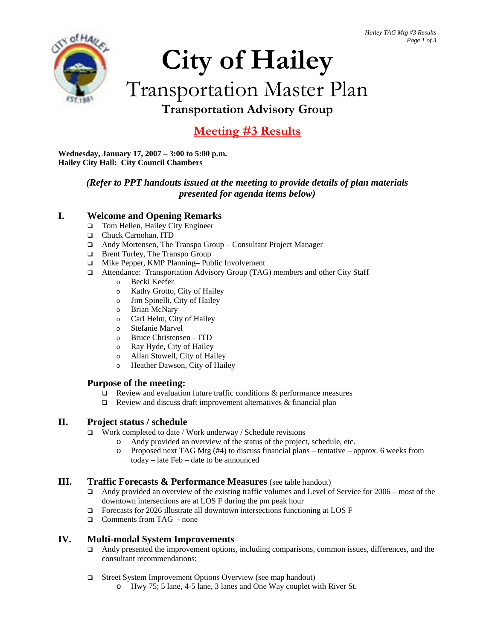

## **City of Hailey**  Transportation Master Plan **Transportation Advisory Group**

### **Meeting #3 Results**

**Wednesday, January 17, 2007 – 3:00 to 5:00 p.m. Hailey City Hall: City Council Chambers**

#### *(Refer to PPT handouts issued at the meeting to provide details of plan materials presented for agenda items below)*

#### **I. Welcome and Opening Remarks**

- □ Tom Hellen, Hailey City Engineer
- Chuck Carnohan, ITD
- Andy Mortensen, The Transpo Group Consultant Project Manager
- □ Brent Turley, The Transpo Group
- □ Mike Pepper, KMP Planning– Public Involvement
- Attendance: Transportation Advisory Group (TAG) members and other City Staff
	- o Becki Keefer
	- o Kathy Grotto, City of Hailey
	- o Jim Spinelli, City of Hailey
	- o Brian McNary
	- o Carl Helm, City of Hailey
	- o Stefanie Marvel
	- o Bruce Christensen ITD
	- o Ray Hyde, City of Hailey
	- o Allan Stowell, City of Hailey
	- o Heather Dawson, City of Hailey

#### **Purpose of the meeting:**

- $\Box$  Review and evaluation future traffic conditions & performance measures
- $\Box$  Review and discuss draft improvement alternatives & financial plan

#### **II. Project status / schedule**

- $\Box$  Work completed to date / Work underway / Schedule revisions
	- o Andy provided an overview of the status of the project, schedule, etc.
	- o Proposed next TAG Mtg (#4) to discuss financial plans tentative approx. 6 weeks from today – late Feb – date to be announced

#### **III.** Traffic Forecasts & Performance Measures (see table handout)

- □ Andy provided an overview of the existing traffic volumes and Level of Service for 2006 most of the downtown intersections are at LOS F during the pm peak hour
- $\Box$  Forecasts for 2026 illustrate all downtown intersections functioning at LOS F
- □ Comments from TAG none

#### **IV. Multi-modal System Improvements**

- Andy presented the improvement options, including comparisons, common issues, differences, and the consultant recommendations:
- □ Street System Improvement Options Overview (see map handout)
	- o Hwy 75; 5 lane, 4-5 lane, 3 lanes and One Way couplet with River St.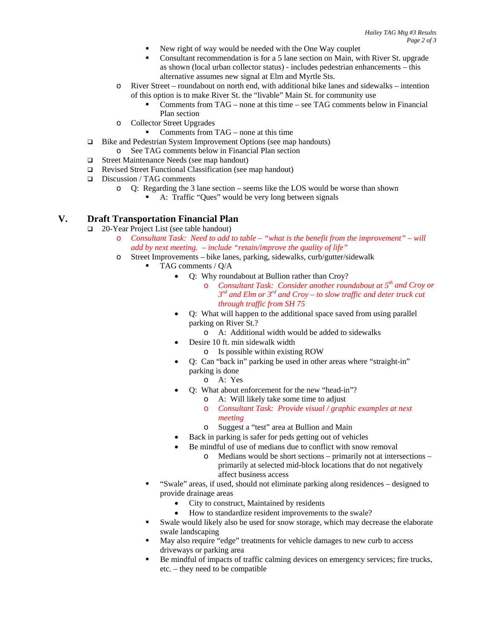- New right of way would be needed with the One Way couplet
- Consultant recommendation is for a 5 lane section on Main, with River St. upgrade as shown (local urban collector status) - includes pedestrian enhancements – this alternative assumes new signal at Elm and Myrtle Sts.
- o River Street roundabout on north end, with additional bike lanes and sidewalks intention of this option is to make River St. the "livable" Main St. for community use
	- Comments from TAG none at this time see TAG comments below in Financial Plan section
- o Collector Street Upgrades
	- Comments from TAG none at this time
- □ Bike and Pedestrian System Improvement Options (see map handouts)
	- o See TAG comments below in Financial Plan section
- □ Street Maintenance Needs (see map handout)
- Revised Street Functional Classification (see map handout)
- Discussion / TAG comments
	- o Q: Regarding the 3 lane section seems like the LOS would be worse than shown
		- A: Traffic "Ques" would be very long between signals

#### **V. Draft Transportation Financial Plan**

- □ 20-Year Project List (see table handout)
	- o *Consultant Task: Need to add to table "what is the benefit from the improvement" will add by next meeting. – include "retain/improve the quality of life"*
	- o Street Improvements bike lanes, parking, sidewalks, curb/gutter/sidewalk
		- TAG comments / Q/A
			- Q: Why roundabout at Bullion rather than Croy?
				- o *Consultant Task: Consider another roundabout at 5th and Croy or 3rd and Elm or 3rd and Croy – to slow traffic and deter truck cut through traffic from SH 75*
			- Q: What will happen to the additional space saved from using parallel parking on River St.?
				- o A: Additional width would be added to sidewalks
				- Desire 10 ft. min sidewalk width
					- o Is possible within existing ROW
			- Q: Can "back in" parking be used in other areas where "straight-in" parking is done
				- o A: Yes
			- Q: What about enforcement for the new "head-in"?
				- o A: Will likely take some time to adjust
				- o *Consultant Task: Provide visual / graphic examples at next meeting*
				- o Suggest a "test" area at Bullion and Main
				- Back in parking is safer for peds getting out of vehicles
			- Be mindful of use of medians due to conflict with snow removal
				- o Medians would be short sections primarily not at intersections primarily at selected mid-block locations that do not negatively affect business access
		- "Swale" areas, if used, should not eliminate parking along residences designed to provide drainage areas
			- City to construct, Maintained by residents
			- How to standardize resident improvements to the swale?
		- Swale would likely also be used for snow storage, which may decrease the elaborate swale landscaping
		- May also require "edge" treatments for vehicle damages to new curb to access driveways or parking area
		- Be mindful of impacts of traffic calming devices on emergency services; fire trucks, etc. – they need to be compatible